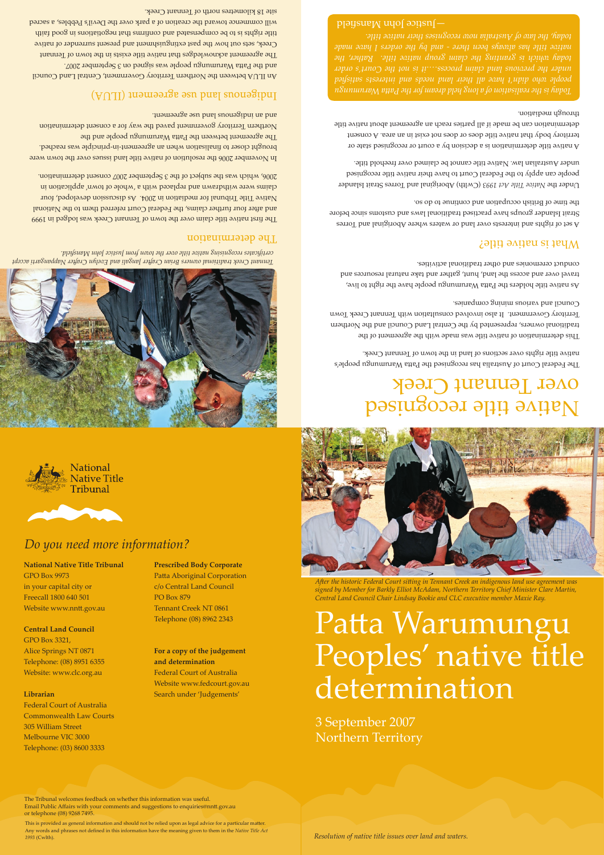



### *Do you need more information?*

### **National Native Title Tribunal** GPO Box 9973 in your capital city or Freecall 1800 640 501

Website www.nntt.gov.au

#### **Central Land Council** GPO Box 3321, Alice Springs NT 0871 Telephone: (08) 8951 6355 Website: www.clc.org.au

#### **Librarian**

Federal Court of Australia Commonwealth Law Courts 305 William Street Melbourne VIC 3000 Telephone: (03) 8600 3333

**Prescribed Body Corporate** Patta Aboriginal Corporation c/o Central Land Council PO Box 879 Tennant Creek NT 0861 Telephone (08) 8962 2343

**For a copy of the judgement and determination** Federal Court of Australia Website www.fedcourt.gov.au Search under 'Judgements'



*A�er the historic Federal Court si�ing in Tennant Creek an indigenous land use agreement was signed by Member for Barkly Elliot McAdam, Northern Territory Chief Minister Clare Martin, Central Land Council Chair Lindsay Bookie and CLC executive member Maxie Ray.*

Patta Warumungu Peoples' native title determination

3 September 2007 Northern Territory

The Tribunal welcomes feedback on whether this information was useful. Email Public Affairs with your comments and suggestions to enquiries@nn�.gov.au or telephone (08) 9268 7495.

This is provided as general information and should not be relied upon as legal advice for a particular matter. Any words and phrases not defined in this information have the meaning given to them in the *Native Title Act 1993* (Cwlth).

*Resolution of native title issues over land and waters.*